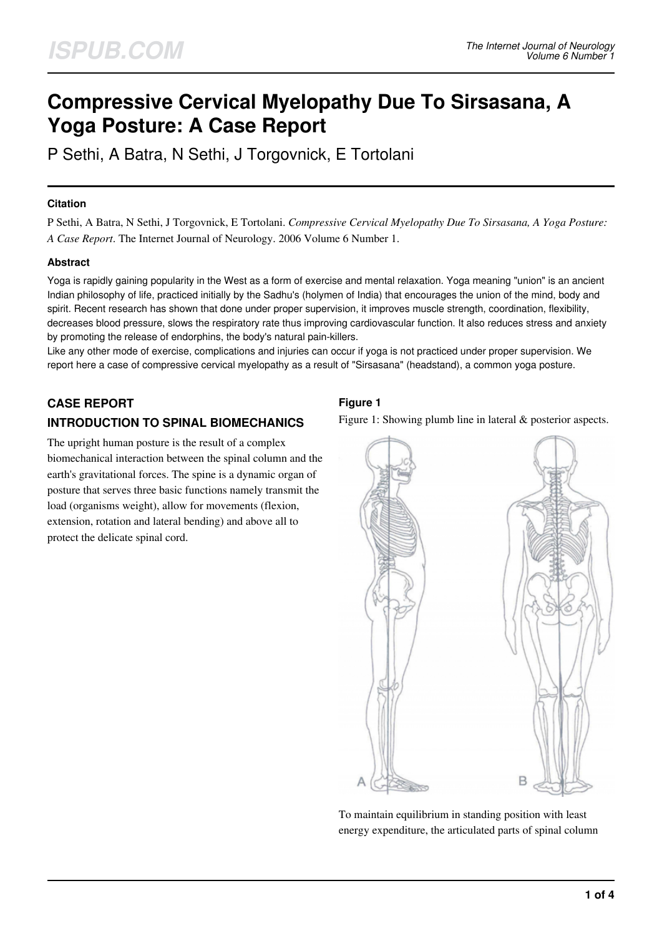# **Compressive Cervical Myelopathy Due To Sirsasana, A Yoga Posture: A Case Report**

P Sethi, A Batra, N Sethi, J Torgovnick, E Tortolani

## **Citation**

P Sethi, A Batra, N Sethi, J Torgovnick, E Tortolani. *Compressive Cervical Myelopathy Due To Sirsasana, A Yoga Posture: A Case Report*. The Internet Journal of Neurology. 2006 Volume 6 Number 1.

# **Abstract**

Yoga is rapidly gaining popularity in the West as a form of exercise and mental relaxation. Yoga meaning "union" is an ancient Indian philosophy of life, practiced initially by the Sadhu's (holymen of India) that encourages the union of the mind, body and spirit. Recent research has shown that done under proper supervision, it improves muscle strength, coordination, flexibility, decreases blood pressure, slows the respiratory rate thus improving cardiovascular function. It also reduces stress and anxiety by promoting the release of endorphins, the body's natural pain-killers.

Like any other mode of exercise, complications and injuries can occur if yoga is not practiced under proper supervision. We report here a case of compressive cervical myelopathy as a result of "Sirsasana" (headstand), a common yoga posture.

# **CASE REPORT INTRODUCTION TO SPINAL BIOMECHANICS**

The upright human posture is the result of a complex biomechanical interaction between the spinal column and the earth's gravitational forces. The spine is a dynamic organ of posture that serves three basic functions namely transmit the load (organisms weight), allow for movements (flexion, extension, rotation and lateral bending) and above all to protect the delicate spinal cord.

# **Figure 1**

Figure 1: Showing plumb line in lateral & posterior aspects.



To maintain equilibrium in standing position with least energy expenditure, the articulated parts of spinal column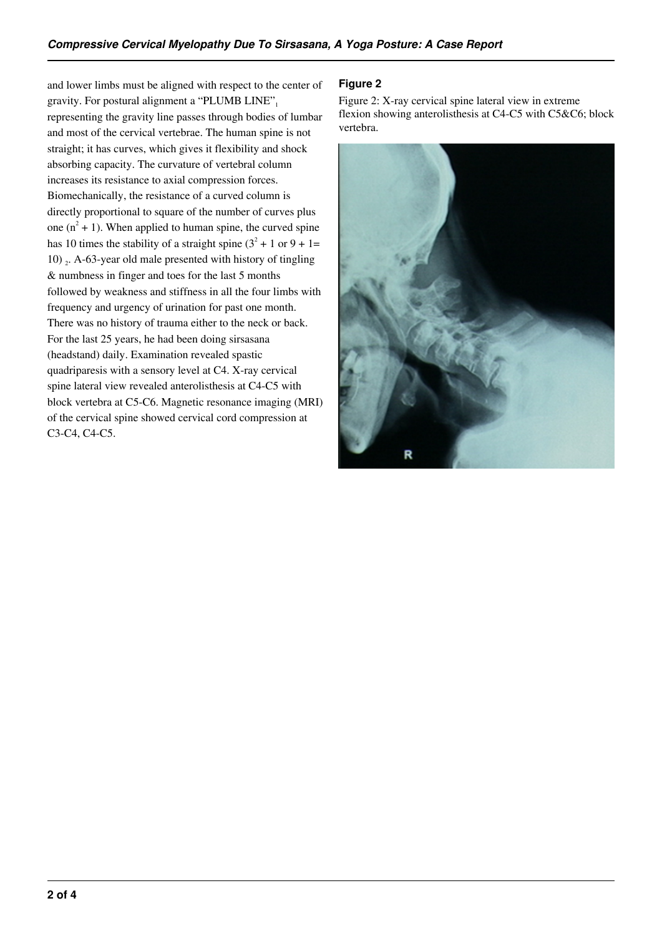and lower limbs must be aligned with respect to the center of gravity. For postural alignment a "PLUMB LINE", representing the gravity line passes through bodies of lumbar and most of the cervical vertebrae. The human spine is not straight; it has curves, which gives it flexibility and shock absorbing capacity. The curvature of vertebral column increases its resistance to axial compression forces. Biomechanically, the resistance of a curved column is directly proportional to square of the number of curves plus one  $(n^2 + 1)$ . When applied to human spine, the curved spine has 10 times the stability of a straight spine  $(3^2 + 1)$  or  $(9 + 1)$ = 10) <sup>2</sup> . A-63-year old male presented with history of tingling & numbness in finger and toes for the last 5 months followed by weakness and stiffness in all the four limbs with frequency and urgency of urination for past one month. There was no history of trauma either to the neck or back. For the last 25 years, he had been doing sirsasana (headstand) daily. Examination revealed spastic quadriparesis with a sensory level at C4. X-ray cervical spine lateral view revealed anterolisthesis at C4-C5 with block vertebra at C5-C6. Magnetic resonance imaging (MRI) of the cervical spine showed cervical cord compression at C3-C4, C4-C5.

# **Figure 2**

Figure 2: X-ray cervical spine lateral view in extreme flexion showing anterolisthesis at C4-C5 with C5&C6; block vertebra.

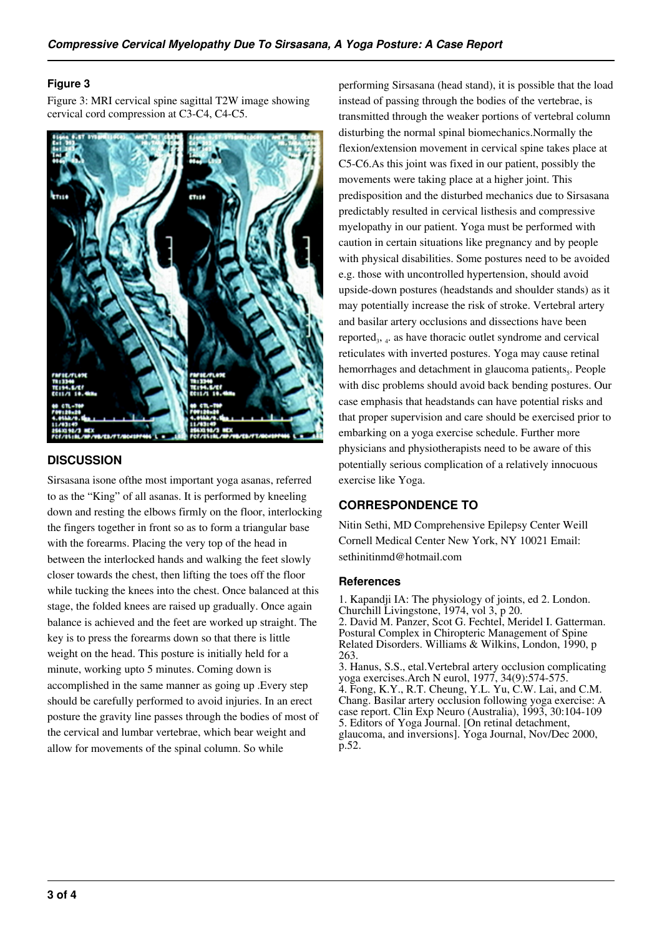#### **Figure 3**

Figure 3: MRI cervical spine sagittal T2W image showing cervical cord compression at C3-C4, C4-C5.



# **DISCUSSION**

Sirsasana isone ofthe most important yoga asanas, referred to as the "King" of all asanas. It is performed by kneeling down and resting the elbows firmly on the floor, interlocking the fingers together in front so as to form a triangular base with the forearms. Placing the very top of the head in between the interlocked hands and walking the feet slowly closer towards the chest, then lifting the toes off the floor while tucking the knees into the chest. Once balanced at this stage, the folded knees are raised up gradually. Once again balance is achieved and the feet are worked up straight. The key is to press the forearms down so that there is little weight on the head. This posture is initially held for a minute, working upto 5 minutes. Coming down is accomplished in the same manner as going up .Every step should be carefully performed to avoid injuries. In an erect posture the gravity line passes through the bodies of most of the cervical and lumbar vertebrae, which bear weight and allow for movements of the spinal column. So while

performing Sirsasana (head stand), it is possible that the load instead of passing through the bodies of the vertebrae, is transmitted through the weaker portions of vertebral column disturbing the normal spinal biomechanics.Normally the flexion/extension movement in cervical spine takes place at C5-C6.As this joint was fixed in our patient, possibly the movements were taking place at a higher joint. This predisposition and the disturbed mechanics due to Sirsasana predictably resulted in cervical listhesis and compressive myelopathy in our patient. Yoga must be performed with caution in certain situations like pregnancy and by people with physical disabilities. Some postures need to be avoided e.g. those with uncontrolled hypertension, should avoid upside-down postures (headstands and shoulder stands) as it may potentially increase the risk of stroke. Vertebral artery and basilar artery occlusions and dissections have been reported<sub>3</sub>,  $_4$ . as have thoracic outlet syndrome and cervical reticulates with inverted postures. Yoga may cause retinal hemorrhages and detachment in glaucoma patients,. People with disc problems should avoid back bending postures. Our case emphasis that headstands can have potential risks and that proper supervision and care should be exercised prior to embarking on a yoga exercise schedule. Further more physicians and physiotherapists need to be aware of this potentially serious complication of a relatively innocuous exercise like Yoga.

# **CORRESPONDENCE TO**

Nitin Sethi, MD Comprehensive Epilepsy Center Weill Cornell Medical Center New York, NY 10021 Email: sethinitinmd@hotmail.com

#### **References**

1. Kapandji IA: The physiology of joints, ed 2. London. Churchill Livingstone, 1974, vol 3, p 20. 2. David M. Panzer, Scot G. Fechtel, Meridel I. Gatterman. Postural Complex in Chiropteric Management of Spine Related Disorders. Williams & Wilkins, London, 1990, p 263. 3. Hanus, S.S., etal.Vertebral artery occlusion complicating yoga exercises.Arch N eurol, 1977, 34(9):574-575. 4. Fong, K.Y., R.T. Cheung, Y.L. Yu, C.W. Lai, and C.M. Chang. Basilar artery occlusion following yoga exercise: A

case report. Clin Exp Neuro (Australia), 1993, 30:104-109 5. Editors of Yoga Journal. [On retinal detachment, glaucoma, and inversions]. Yoga Journal, Nov/Dec 2000, p.52.